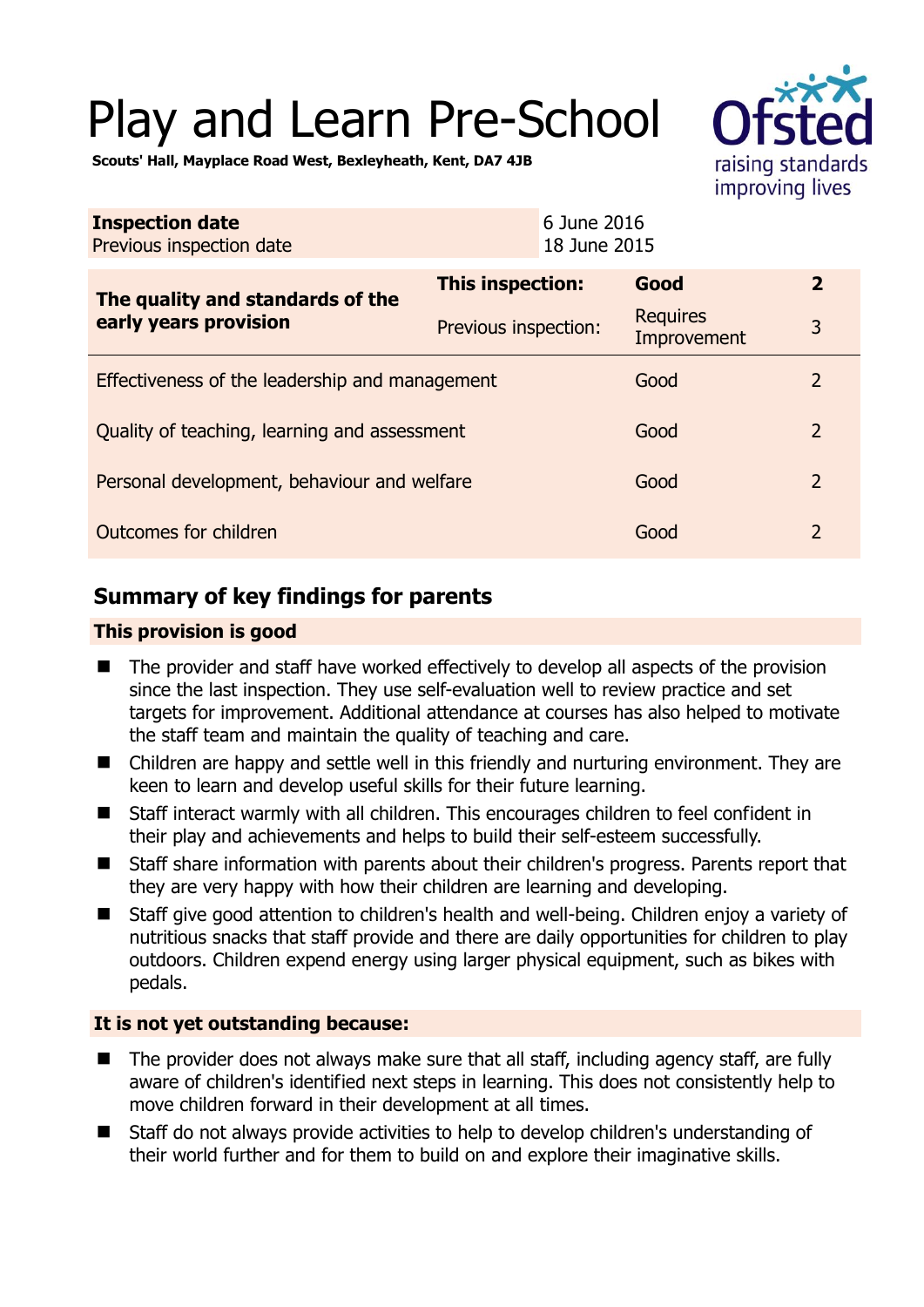# Play and Learn Pre-School



**Scouts' Hall, Mayplace Road West, Bexleyheath, Kent, DA7 4JB** 

| <b>Inspection date</b><br>Previous inspection date        |                         | 6 June 2016<br>18 June 2015    |                |
|-----------------------------------------------------------|-------------------------|--------------------------------|----------------|
| The quality and standards of the<br>early years provision | <b>This inspection:</b> | Good                           | $\overline{2}$ |
|                                                           | Previous inspection:    | <b>Requires</b><br>Improvement | 3              |
| Effectiveness of the leadership and management            |                         | Good                           | 2              |
| Quality of teaching, learning and assessment              |                         | Good                           | $\overline{2}$ |
| Personal development, behaviour and welfare               |                         | Good                           | $\overline{2}$ |
| Outcomes for children                                     |                         | Good                           | $\overline{2}$ |

# **Summary of key findings for parents**

#### **This provision is good**

- The provider and staff have worked effectively to develop all aspects of the provision since the last inspection. They use self-evaluation well to review practice and set targets for improvement. Additional attendance at courses has also helped to motivate the staff team and maintain the quality of teaching and care.
- Children are happy and settle well in this friendly and nurturing environment. They are keen to learn and develop useful skills for their future learning.
- Staff interact warmly with all children. This encourages children to feel confident in their play and achievements and helps to build their self-esteem successfully.
- Staff share information with parents about their children's progress. Parents report that they are very happy with how their children are learning and developing.
- Staff give good attention to children's health and well-being. Children enjoy a variety of nutritious snacks that staff provide and there are daily opportunities for children to play outdoors. Children expend energy using larger physical equipment, such as bikes with pedals.

## **It is not yet outstanding because:**

- The provider does not always make sure that all staff, including agency staff, are fully aware of children's identified next steps in learning. This does not consistently help to move children forward in their development at all times.
- Staff do not always provide activities to help to develop children's understanding of their world further and for them to build on and explore their imaginative skills.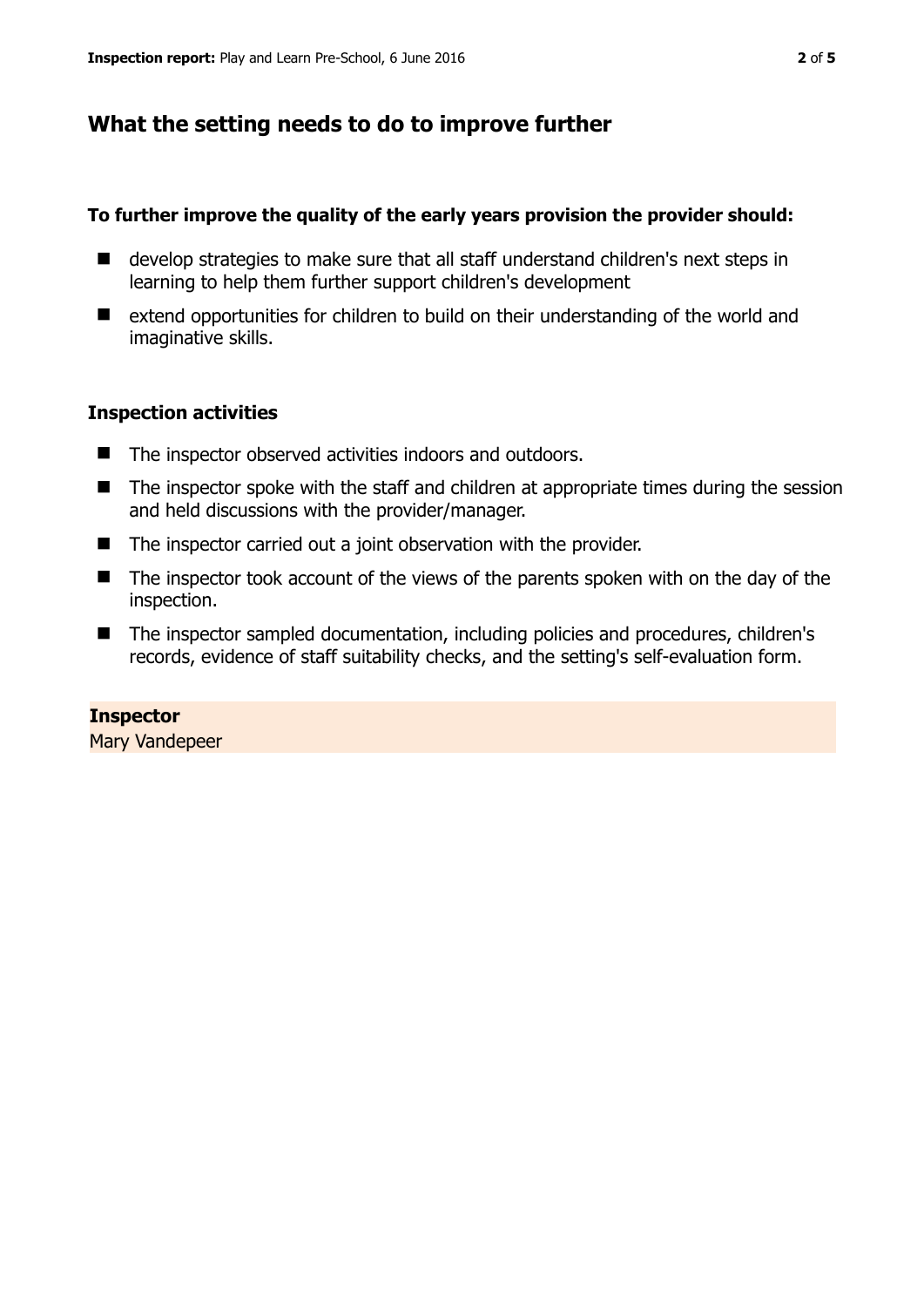# **What the setting needs to do to improve further**

### **To further improve the quality of the early years provision the provider should:**

- develop strategies to make sure that all staff understand children's next steps in learning to help them further support children's development
- extend opportunities for children to build on their understanding of the world and imaginative skills.

## **Inspection activities**

- The inspector observed activities indoors and outdoors.
- The inspector spoke with the staff and children at appropriate times during the session and held discussions with the provider/manager.
- The inspector carried out a joint observation with the provider.
- The inspector took account of the views of the parents spoken with on the day of the inspection.
- The inspector sampled documentation, including policies and procedures, children's records, evidence of staff suitability checks, and the setting's self-evaluation form.

## **Inspector**

Mary Vandepeer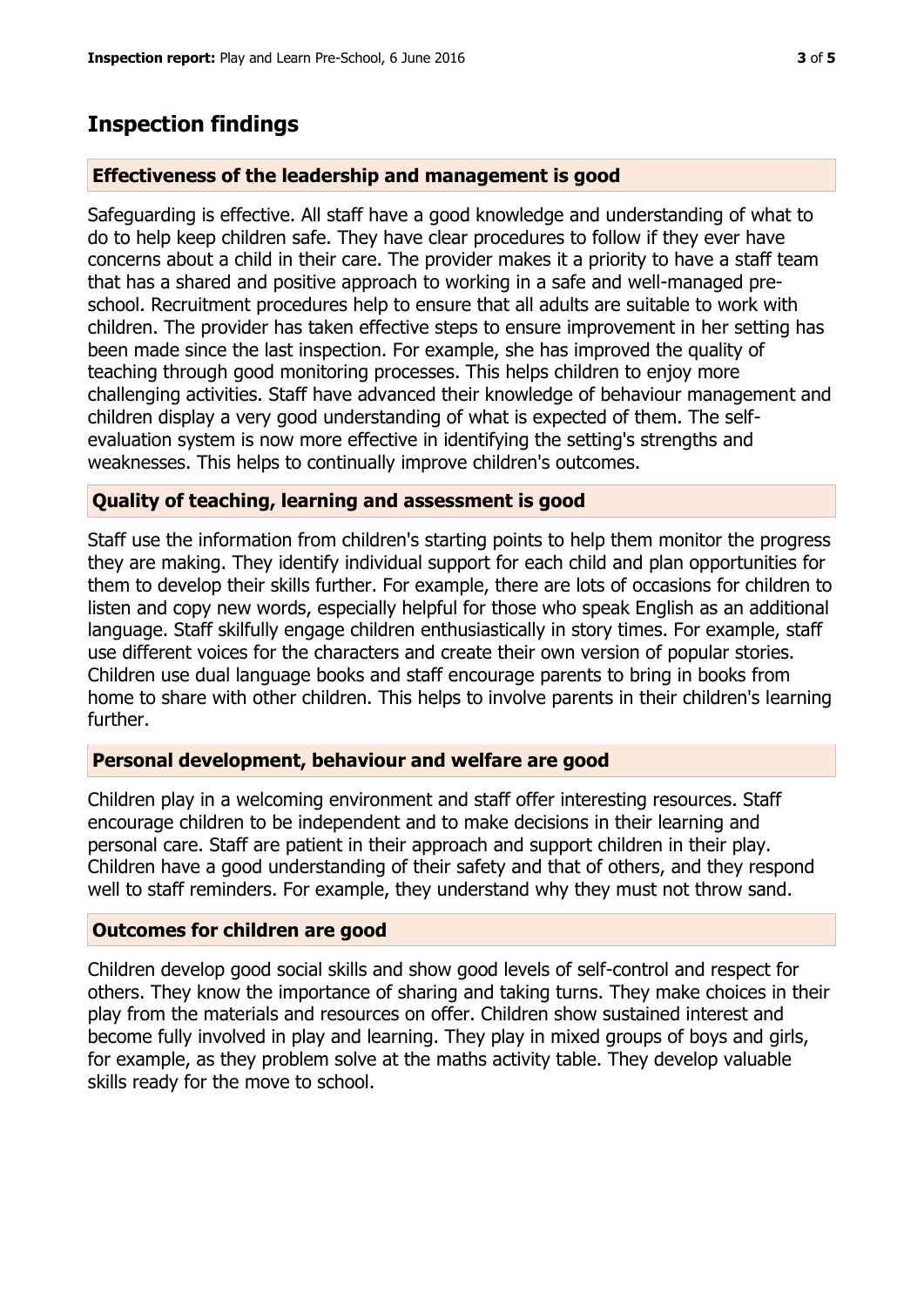# **Inspection findings**

## **Effectiveness of the leadership and management is good**

Safeguarding is effective. All staff have a good knowledge and understanding of what to do to help keep children safe. They have clear procedures to follow if they ever have concerns about a child in their care. The provider makes it a priority to have a staff team that has a shared and positive approach to working in a safe and well-managed preschool. Recruitment procedures help to ensure that all adults are suitable to work with children. The provider has taken effective steps to ensure improvement in her setting has been made since the last inspection. For example, she has improved the quality of teaching through good monitoring processes. This helps children to enjoy more challenging activities. Staff have advanced their knowledge of behaviour management and children display a very good understanding of what is expected of them. The selfevaluation system is now more effective in identifying the setting's strengths and weaknesses. This helps to continually improve children's outcomes.

#### **Quality of teaching, learning and assessment is good**

Staff use the information from children's starting points to help them monitor the progress they are making. They identify individual support for each child and plan opportunities for them to develop their skills further. For example, there are lots of occasions for children to listen and copy new words, especially helpful for those who speak English as an additional language. Staff skilfully engage children enthusiastically in story times. For example, staff use different voices for the characters and create their own version of popular stories. Children use dual language books and staff encourage parents to bring in books from home to share with other children. This helps to involve parents in their children's learning further.

#### **Personal development, behaviour and welfare are good**

Children play in a welcoming environment and staff offer interesting resources. Staff encourage children to be independent and to make decisions in their learning and personal care. Staff are patient in their approach and support children in their play. Children have a good understanding of their safety and that of others, and they respond well to staff reminders. For example, they understand why they must not throw sand.

#### **Outcomes for children are good**

Children develop good social skills and show good levels of self-control and respect for others. They know the importance of sharing and taking turns. They make choices in their play from the materials and resources on offer. Children show sustained interest and become fully involved in play and learning. They play in mixed groups of boys and girls, for example, as they problem solve at the maths activity table. They develop valuable skills ready for the move to school.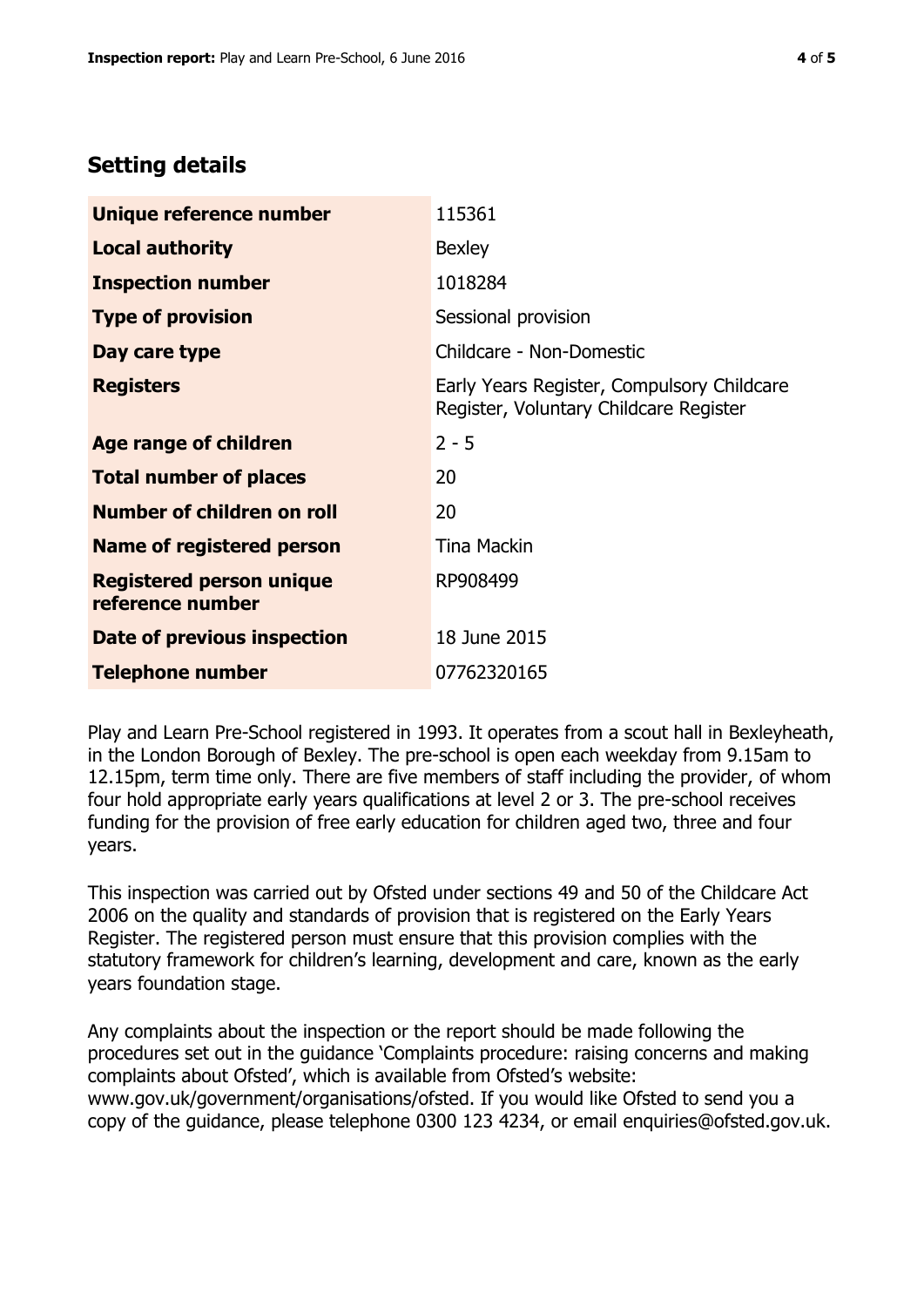# **Setting details**

| Unique reference number                             | 115361                                                                               |  |
|-----------------------------------------------------|--------------------------------------------------------------------------------------|--|
| <b>Local authority</b>                              | <b>Bexley</b>                                                                        |  |
| <b>Inspection number</b>                            | 1018284                                                                              |  |
| <b>Type of provision</b>                            | Sessional provision                                                                  |  |
| Day care type                                       | Childcare - Non-Domestic                                                             |  |
| <b>Registers</b>                                    | Early Years Register, Compulsory Childcare<br>Register, Voluntary Childcare Register |  |
| Age range of children                               | $2 - 5$                                                                              |  |
| <b>Total number of places</b>                       | 20                                                                                   |  |
| Number of children on roll                          | 20                                                                                   |  |
| Name of registered person                           | <b>Tina Mackin</b>                                                                   |  |
| <b>Registered person unique</b><br>reference number | RP908499                                                                             |  |
| Date of previous inspection                         | 18 June 2015                                                                         |  |
| <b>Telephone number</b>                             | 07762320165                                                                          |  |

Play and Learn Pre-School registered in 1993. It operates from a scout hall in Bexleyheath, in the London Borough of Bexley. The pre-school is open each weekday from 9.15am to 12.15pm, term time only. There are five members of staff including the provider, of whom four hold appropriate early years qualifications at level 2 or 3. The pre-school receives funding for the provision of free early education for children aged two, three and four years.

This inspection was carried out by Ofsted under sections 49 and 50 of the Childcare Act 2006 on the quality and standards of provision that is registered on the Early Years Register. The registered person must ensure that this provision complies with the statutory framework for children's learning, development and care, known as the early years foundation stage.

Any complaints about the inspection or the report should be made following the procedures set out in the guidance 'Complaints procedure: raising concerns and making complaints about Ofsted', which is available from Ofsted's website: www.gov.uk/government/organisations/ofsted. If you would like Ofsted to send you a copy of the guidance, please telephone 0300 123 4234, or email enquiries@ofsted.gov.uk.